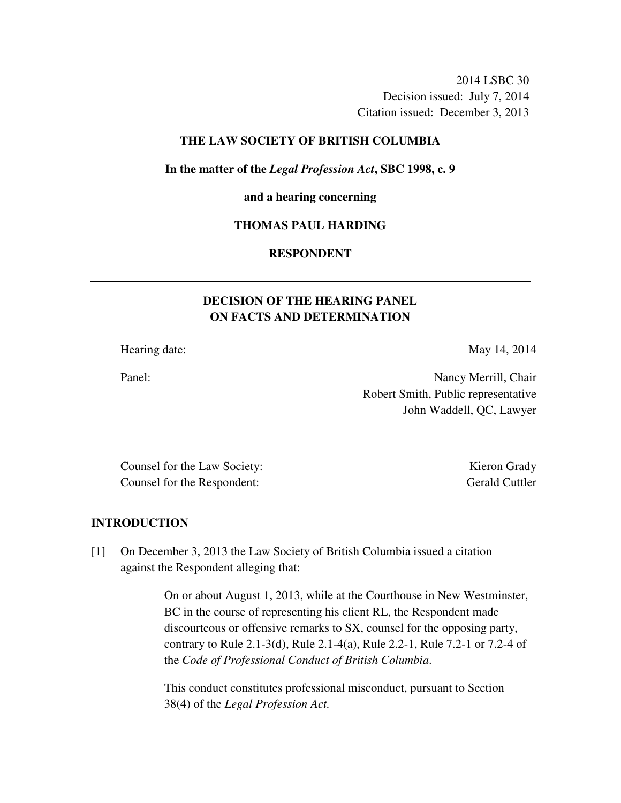2014 LSBC 30 Decision issued: July 7, 2014 Citation issued: December 3, 2013

## **THE LAW SOCIETY OF BRITISH COLUMBIA**

#### **In the matter of the** *Legal Profession Act***, SBC 1998, c. 9**

#### **and a hearing concerning**

## **THOMAS PAUL HARDING**

## **RESPONDENT**

# **DECISION OF THE HEARING PANEL ON FACTS AND DETERMINATION**

Hearing date: May 14, 2014

Panel: Nancy Merrill, Chair Robert Smith, Public representative John Waddell, QC, Lawyer

Counsel for the Law Society: Kieron Grady Counsel for the Respondent: Gerald Cuttler

#### **INTRODUCTION**

[1] On December 3, 2013 the Law Society of British Columbia issued a citation against the Respondent alleging that:

> On or about August 1, 2013, while at the Courthouse in New Westminster, BC in the course of representing his client RL, the Respondent made discourteous or offensive remarks to SX, counsel for the opposing party, contrary to Rule 2.1-3(d), Rule 2.1-4(a), Rule 2.2-1, Rule 7.2-1 or 7.2-4 of the *Code of Professional Conduct of British Columbia*.

This conduct constitutes professional misconduct, pursuant to Section 38(4) of the *Legal Profession Act.*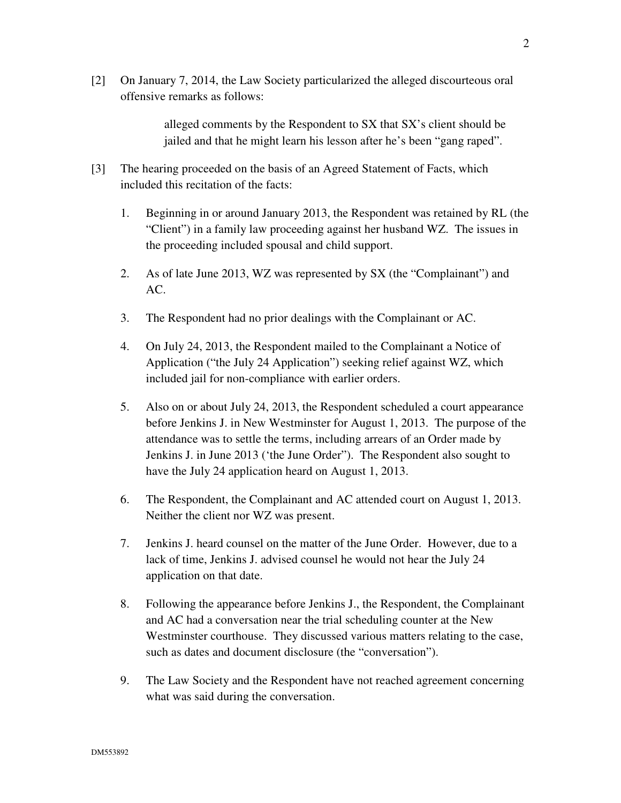[2] On January 7, 2014, the Law Society particularized the alleged discourteous oral offensive remarks as follows:

> alleged comments by the Respondent to SX that SX's client should be jailed and that he might learn his lesson after he's been "gang raped".

- [3] The hearing proceeded on the basis of an Agreed Statement of Facts, which included this recitation of the facts:
	- 1. Beginning in or around January 2013, the Respondent was retained by RL (the "Client") in a family law proceeding against her husband WZ. The issues in the proceeding included spousal and child support.
	- 2. As of late June 2013, WZ was represented by SX (the "Complainant") and AC.
	- 3. The Respondent had no prior dealings with the Complainant or AC.
	- 4. On July 24, 2013, the Respondent mailed to the Complainant a Notice of Application ("the July 24 Application") seeking relief against WZ, which included jail for non-compliance with earlier orders.
	- 5. Also on or about July 24, 2013, the Respondent scheduled a court appearance before Jenkins J. in New Westminster for August 1, 2013. The purpose of the attendance was to settle the terms, including arrears of an Order made by Jenkins J. in June 2013 ('the June Order"). The Respondent also sought to have the July 24 application heard on August 1, 2013.
	- 6. The Respondent, the Complainant and AC attended court on August 1, 2013. Neither the client nor WZ was present.
	- 7. Jenkins J. heard counsel on the matter of the June Order. However, due to a lack of time, Jenkins J. advised counsel he would not hear the July 24 application on that date.
	- 8. Following the appearance before Jenkins J., the Respondent, the Complainant and AC had a conversation near the trial scheduling counter at the New Westminster courthouse. They discussed various matters relating to the case, such as dates and document disclosure (the "conversation").
	- 9. The Law Society and the Respondent have not reached agreement concerning what was said during the conversation.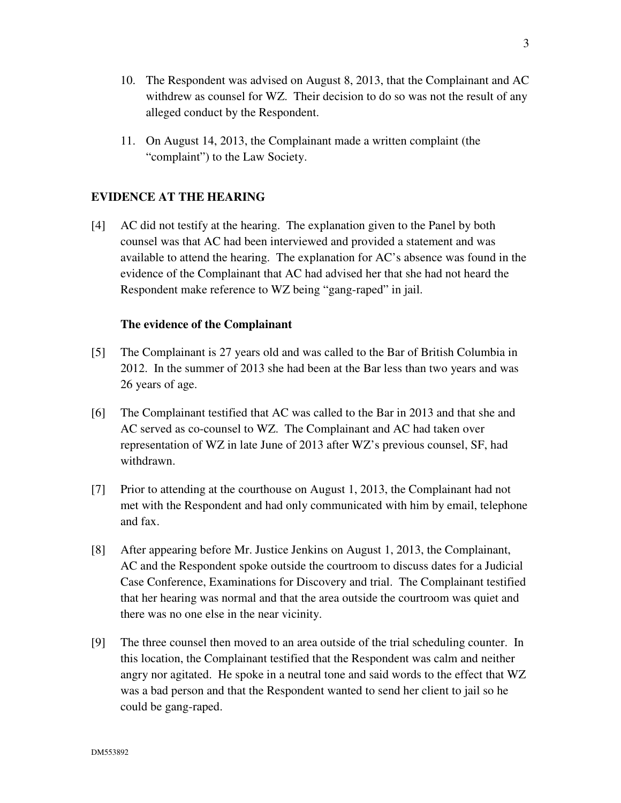- 10. The Respondent was advised on August 8, 2013, that the Complainant and AC withdrew as counsel for WZ. Their decision to do so was not the result of any alleged conduct by the Respondent.
- 11. On August 14, 2013, the Complainant made a written complaint (the "complaint") to the Law Society.

# **EVIDENCE AT THE HEARING**

[4] AC did not testify at the hearing. The explanation given to the Panel by both counsel was that AC had been interviewed and provided a statement and was available to attend the hearing. The explanation for AC's absence was found in the evidence of the Complainant that AC had advised her that she had not heard the Respondent make reference to WZ being "gang-raped" in jail.

#### **The evidence of the Complainant**

- [5] The Complainant is 27 years old and was called to the Bar of British Columbia in 2012. In the summer of 2013 she had been at the Bar less than two years and was 26 years of age.
- [6] The Complainant testified that AC was called to the Bar in 2013 and that she and AC served as co-counsel to WZ. The Complainant and AC had taken over representation of WZ in late June of 2013 after WZ's previous counsel, SF, had withdrawn.
- [7] Prior to attending at the courthouse on August 1, 2013, the Complainant had not met with the Respondent and had only communicated with him by email, telephone and fax.
- [8] After appearing before Mr. Justice Jenkins on August 1, 2013, the Complainant, AC and the Respondent spoke outside the courtroom to discuss dates for a Judicial Case Conference, Examinations for Discovery and trial. The Complainant testified that her hearing was normal and that the area outside the courtroom was quiet and there was no one else in the near vicinity.
- [9] The three counsel then moved to an area outside of the trial scheduling counter. In this location, the Complainant testified that the Respondent was calm and neither angry nor agitated. He spoke in a neutral tone and said words to the effect that WZ was a bad person and that the Respondent wanted to send her client to jail so he could be gang-raped.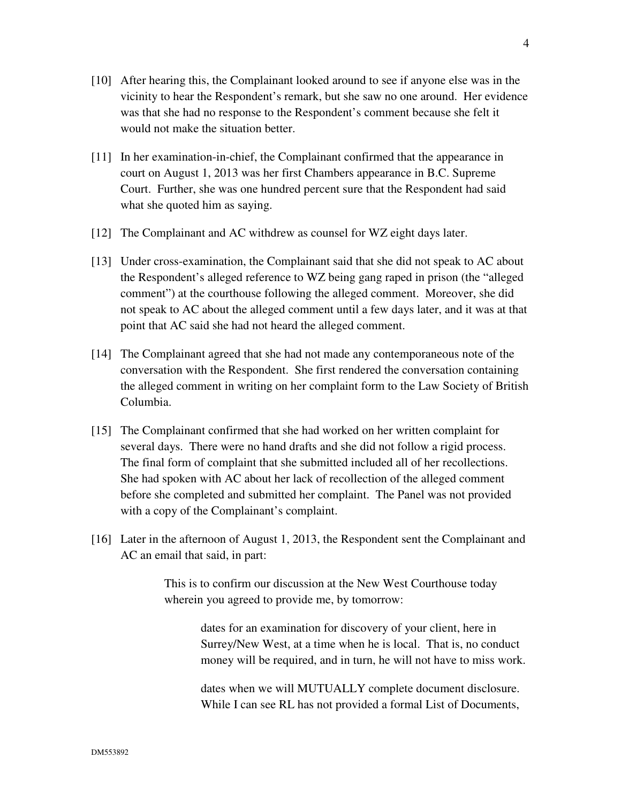- [10] After hearing this, the Complainant looked around to see if anyone else was in the vicinity to hear the Respondent's remark, but she saw no one around. Her evidence was that she had no response to the Respondent's comment because she felt it would not make the situation better.
- [11] In her examination-in-chief, the Complainant confirmed that the appearance in court on August 1, 2013 was her first Chambers appearance in B.C. Supreme Court. Further, she was one hundred percent sure that the Respondent had said what she quoted him as saying.
- [12] The Complainant and AC withdrew as counsel for WZ eight days later.
- [13] Under cross-examination, the Complainant said that she did not speak to AC about the Respondent's alleged reference to WZ being gang raped in prison (the "alleged comment") at the courthouse following the alleged comment. Moreover, she did not speak to AC about the alleged comment until a few days later, and it was at that point that AC said she had not heard the alleged comment.
- [14] The Complainant agreed that she had not made any contemporaneous note of the conversation with the Respondent. She first rendered the conversation containing the alleged comment in writing on her complaint form to the Law Society of British Columbia.
- [15] The Complainant confirmed that she had worked on her written complaint for several days. There were no hand drafts and she did not follow a rigid process. The final form of complaint that she submitted included all of her recollections. She had spoken with AC about her lack of recollection of the alleged comment before she completed and submitted her complaint. The Panel was not provided with a copy of the Complainant's complaint.
- [16] Later in the afternoon of August 1, 2013, the Respondent sent the Complainant and AC an email that said, in part:

This is to confirm our discussion at the New West Courthouse today wherein you agreed to provide me, by tomorrow:

> dates for an examination for discovery of your client, here in Surrey/New West, at a time when he is local. That is, no conduct money will be required, and in turn, he will not have to miss work.

dates when we will MUTUALLY complete document disclosure. While I can see RL has not provided a formal List of Documents,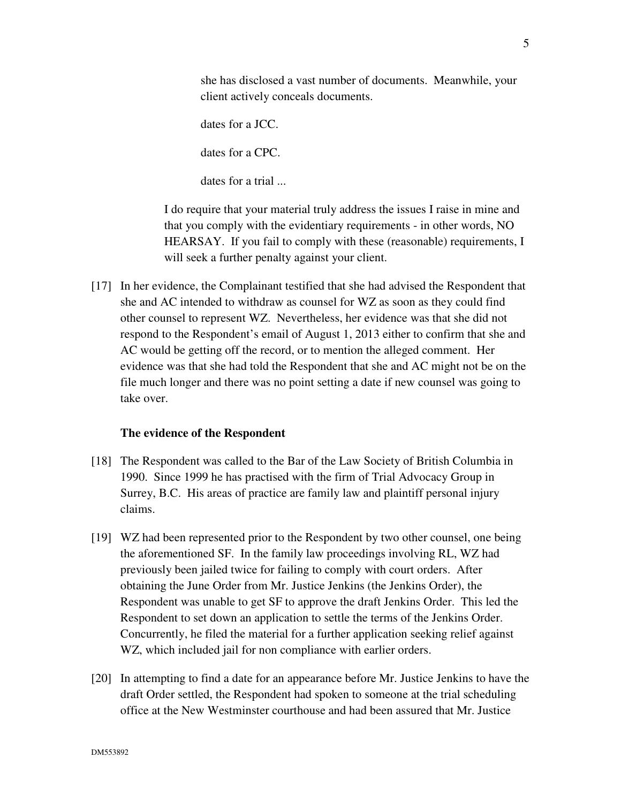she has disclosed a vast number of documents. Meanwhile, your client actively conceals documents.

dates for a JCC. dates for a CPC. dates for a trial ...

I do require that your material truly address the issues I raise in mine and that you comply with the evidentiary requirements - in other words, NO HEARSAY. If you fail to comply with these (reasonable) requirements, I will seek a further penalty against your client.

[17] In her evidence, the Complainant testified that she had advised the Respondent that she and AC intended to withdraw as counsel for WZ as soon as they could find other counsel to represent WZ. Nevertheless, her evidence was that she did not respond to the Respondent's email of August 1, 2013 either to confirm that she and AC would be getting off the record, or to mention the alleged comment. Her evidence was that she had told the Respondent that she and AC might not be on the file much longer and there was no point setting a date if new counsel was going to take over.

# **The evidence of the Respondent**

- [18] The Respondent was called to the Bar of the Law Society of British Columbia in 1990. Since 1999 he has practised with the firm of Trial Advocacy Group in Surrey, B.C. His areas of practice are family law and plaintiff personal injury claims.
- [19] WZ had been represented prior to the Respondent by two other counsel, one being the aforementioned SF. In the family law proceedings involving RL, WZ had previously been jailed twice for failing to comply with court orders. After obtaining the June Order from Mr. Justice Jenkins (the Jenkins Order), the Respondent was unable to get SF to approve the draft Jenkins Order. This led the Respondent to set down an application to settle the terms of the Jenkins Order. Concurrently, he filed the material for a further application seeking relief against WZ, which included jail for non compliance with earlier orders.
- [20] In attempting to find a date for an appearance before Mr. Justice Jenkins to have the draft Order settled, the Respondent had spoken to someone at the trial scheduling office at the New Westminster courthouse and had been assured that Mr. Justice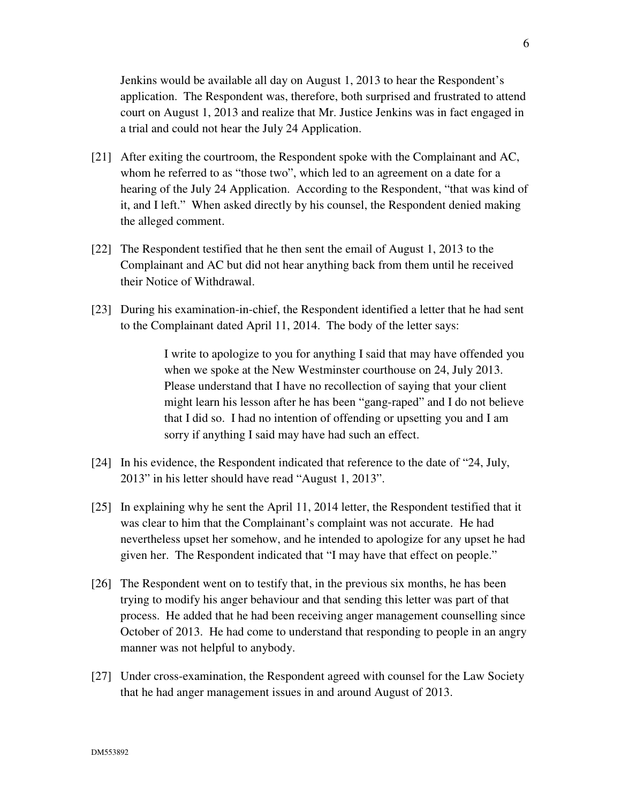Jenkins would be available all day on August 1, 2013 to hear the Respondent's application. The Respondent was, therefore, both surprised and frustrated to attend court on August 1, 2013 and realize that Mr. Justice Jenkins was in fact engaged in a trial and could not hear the July 24 Application.

- [21] After exiting the courtroom, the Respondent spoke with the Complainant and AC, whom he referred to as "those two", which led to an agreement on a date for a hearing of the July 24 Application. According to the Respondent, "that was kind of it, and I left." When asked directly by his counsel, the Respondent denied making the alleged comment.
- [22] The Respondent testified that he then sent the email of August 1, 2013 to the Complainant and AC but did not hear anything back from them until he received their Notice of Withdrawal.
- [23] During his examination-in-chief, the Respondent identified a letter that he had sent to the Complainant dated April 11, 2014. The body of the letter says:

I write to apologize to you for anything I said that may have offended you when we spoke at the New Westminster courthouse on 24, July 2013. Please understand that I have no recollection of saying that your client might learn his lesson after he has been "gang-raped" and I do not believe that I did so. I had no intention of offending or upsetting you and I am sorry if anything I said may have had such an effect.

- [24] In his evidence, the Respondent indicated that reference to the date of "24, July, 2013" in his letter should have read "August 1, 2013".
- [25] In explaining why he sent the April 11, 2014 letter, the Respondent testified that it was clear to him that the Complainant's complaint was not accurate. He had nevertheless upset her somehow, and he intended to apologize for any upset he had given her. The Respondent indicated that "I may have that effect on people."
- [26] The Respondent went on to testify that, in the previous six months, he has been trying to modify his anger behaviour and that sending this letter was part of that process. He added that he had been receiving anger management counselling since October of 2013. He had come to understand that responding to people in an angry manner was not helpful to anybody.
- [27] Under cross-examination, the Respondent agreed with counsel for the Law Society that he had anger management issues in and around August of 2013.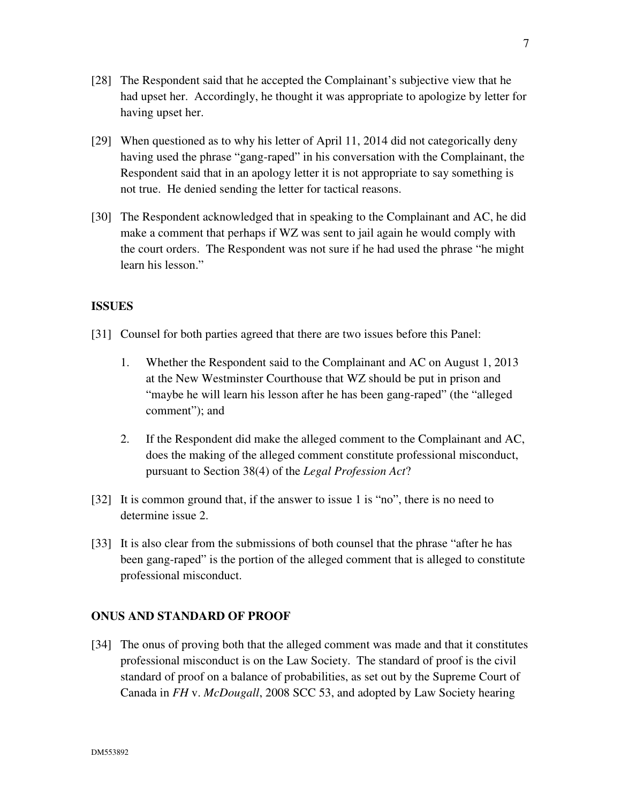- [28] The Respondent said that he accepted the Complainant's subjective view that he had upset her. Accordingly, he thought it was appropriate to apologize by letter for having upset her.
- [29] When questioned as to why his letter of April 11, 2014 did not categorically deny having used the phrase "gang-raped" in his conversation with the Complainant, the Respondent said that in an apology letter it is not appropriate to say something is not true. He denied sending the letter for tactical reasons.
- [30] The Respondent acknowledged that in speaking to the Complainant and AC, he did make a comment that perhaps if WZ was sent to jail again he would comply with the court orders. The Respondent was not sure if he had used the phrase "he might learn his lesson."

#### **ISSUES**

- [31] Counsel for both parties agreed that there are two issues before this Panel:
	- 1. Whether the Respondent said to the Complainant and AC on August 1, 2013 at the New Westminster Courthouse that WZ should be put in prison and "maybe he will learn his lesson after he has been gang-raped" (the "alleged comment"); and
	- 2. If the Respondent did make the alleged comment to the Complainant and AC, does the making of the alleged comment constitute professional misconduct, pursuant to Section 38(4) of the *Legal Profession Act*?
- [32] It is common ground that, if the answer to issue 1 is "no", there is no need to determine issue 2.
- [33] It is also clear from the submissions of both counsel that the phrase "after he has been gang-raped" is the portion of the alleged comment that is alleged to constitute professional misconduct.

#### **ONUS AND STANDARD OF PROOF**

[34] The onus of proving both that the alleged comment was made and that it constitutes professional misconduct is on the Law Society. The standard of proof is the civil standard of proof on a balance of probabilities, as set out by the Supreme Court of Canada in *FH* v. *McDougall*, 2008 SCC 53, and adopted by Law Society hearing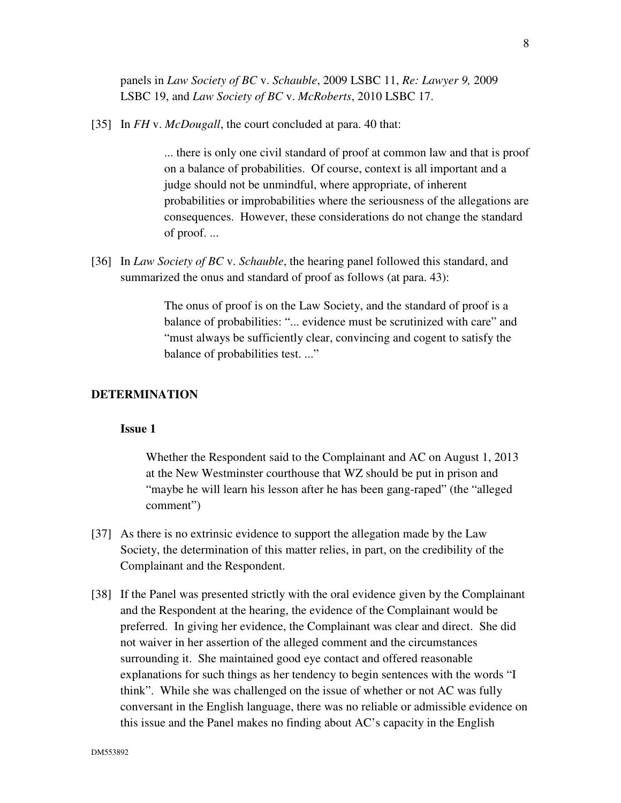panels in *Law Society of BC* v. *Schauble*, 2009 LSBC 11, *Re: Lawyer 9,* 2009 LSBC 19, and *Law Society of BC* v. *McRoberts*, 2010 LSBC 17.

[35] In *FH* v. *McDougall*, the court concluded at para. 40 that:

... there is only one civil standard of proof at common law and that is proof on a balance of probabilities. Of course, context is all important and a judge should not be unmindful, where appropriate, of inherent probabilities or improbabilities where the seriousness of the allegations are consequences. However, these considerations do not change the standard of proof. ...

[36] In *Law Society of BC* v. *Schauble*, the hearing panel followed this standard, and summarized the onus and standard of proof as follows (at para. 43):

> The onus of proof is on the Law Society, and the standard of proof is a balance of probabilities: "... evidence must be scrutinized with care" and "must always be sufficiently clear, convincing and cogent to satisfy the balance of probabilities test. ..."

#### **DETERMINATION**

#### **Issue 1**

Whether the Respondent said to the Complainant and AC on August 1, 2013 at the New Westminster courthouse that WZ should be put in prison and "maybe he will learn his lesson after he has been gang-raped" (the "alleged comment")

- [37] As there is no extrinsic evidence to support the allegation made by the Law Society, the determination of this matter relies, in part, on the credibility of the Complainant and the Respondent.
- [38] If the Panel was presented strictly with the oral evidence given by the Complainant and the Respondent at the hearing, the evidence of the Complainant would be preferred. In giving her evidence, the Complainant was clear and direct. She did not waiver in her assertion of the alleged comment and the circumstances surrounding it. She maintained good eye contact and offered reasonable explanations for such things as her tendency to begin sentences with the words "I think". While she was challenged on the issue of whether or not AC was fully conversant in the English language, there was no reliable or admissible evidence on this issue and the Panel makes no finding about AC's capacity in the English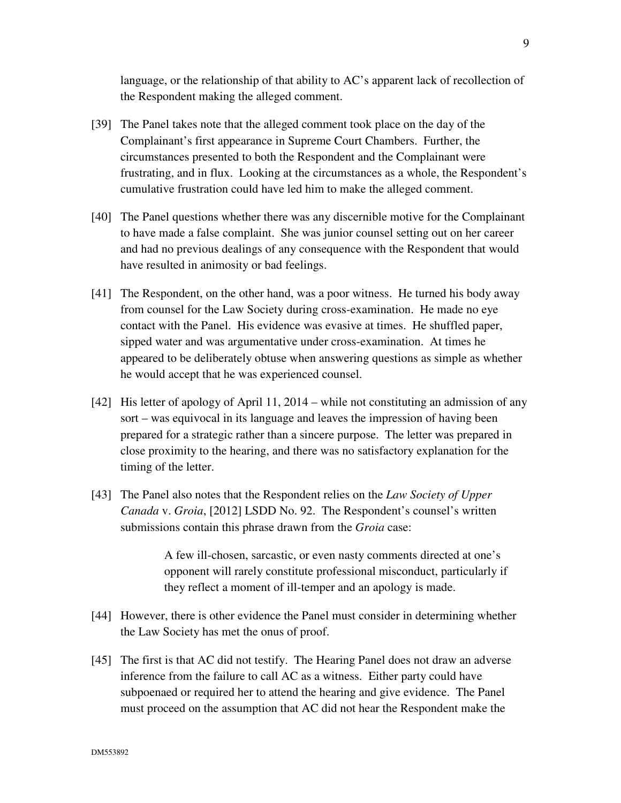language, or the relationship of that ability to AC's apparent lack of recollection of the Respondent making the alleged comment.

- [39] The Panel takes note that the alleged comment took place on the day of the Complainant's first appearance in Supreme Court Chambers. Further, the circumstances presented to both the Respondent and the Complainant were frustrating, and in flux. Looking at the circumstances as a whole, the Respondent's cumulative frustration could have led him to make the alleged comment.
- [40] The Panel questions whether there was any discernible motive for the Complainant to have made a false complaint. She was junior counsel setting out on her career and had no previous dealings of any consequence with the Respondent that would have resulted in animosity or bad feelings.
- [41] The Respondent, on the other hand, was a poor witness. He turned his body away from counsel for the Law Society during cross-examination. He made no eye contact with the Panel. His evidence was evasive at times. He shuffled paper, sipped water and was argumentative under cross-examination. At times he appeared to be deliberately obtuse when answering questions as simple as whether he would accept that he was experienced counsel.
- [42] His letter of apology of April 11, 2014 while not constituting an admission of any sort – was equivocal in its language and leaves the impression of having been prepared for a strategic rather than a sincere purpose. The letter was prepared in close proximity to the hearing, and there was no satisfactory explanation for the timing of the letter.
- [43] The Panel also notes that the Respondent relies on the *Law Society of Upper Canada* v. *Groia*, [2012] LSDD No. 92. The Respondent's counsel's written submissions contain this phrase drawn from the *Groia* case:

A few ill-chosen, sarcastic, or even nasty comments directed at one's opponent will rarely constitute professional misconduct, particularly if they reflect a moment of ill-temper and an apology is made.

- [44] However, there is other evidence the Panel must consider in determining whether the Law Society has met the onus of proof.
- [45] The first is that AC did not testify. The Hearing Panel does not draw an adverse inference from the failure to call AC as a witness. Either party could have subpoenaed or required her to attend the hearing and give evidence. The Panel must proceed on the assumption that AC did not hear the Respondent make the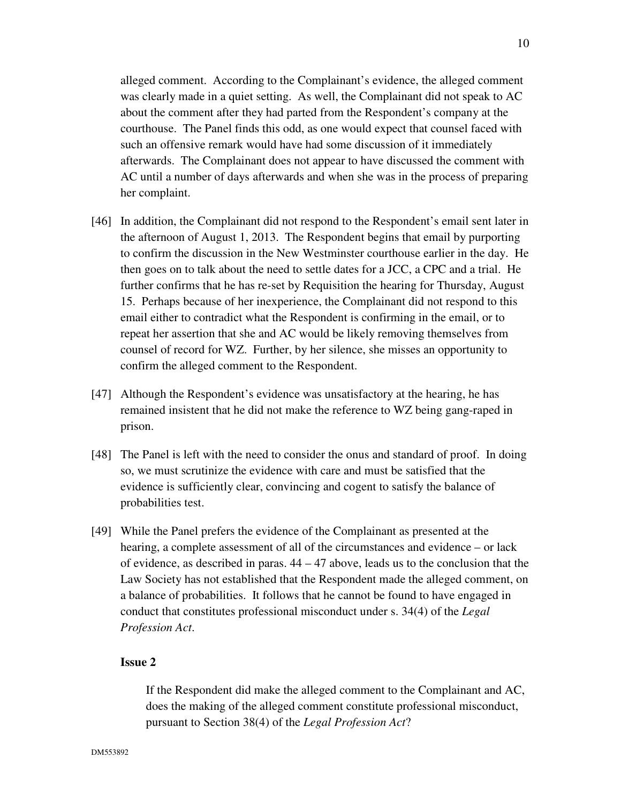alleged comment. According to the Complainant's evidence, the alleged comment was clearly made in a quiet setting. As well, the Complainant did not speak to AC about the comment after they had parted from the Respondent's company at the

courthouse. The Panel finds this odd, as one would expect that counsel faced with such an offensive remark would have had some discussion of it immediately afterwards. The Complainant does not appear to have discussed the comment with AC until a number of days afterwards and when she was in the process of preparing her complaint.

- [46] In addition, the Complainant did not respond to the Respondent's email sent later in the afternoon of August 1, 2013. The Respondent begins that email by purporting to confirm the discussion in the New Westminster courthouse earlier in the day. He then goes on to talk about the need to settle dates for a JCC, a CPC and a trial. He further confirms that he has re-set by Requisition the hearing for Thursday, August 15. Perhaps because of her inexperience, the Complainant did not respond to this email either to contradict what the Respondent is confirming in the email, or to repeat her assertion that she and AC would be likely removing themselves from counsel of record for WZ. Further, by her silence, she misses an opportunity to confirm the alleged comment to the Respondent.
- [47] Although the Respondent's evidence was unsatisfactory at the hearing, he has remained insistent that he did not make the reference to WZ being gang-raped in prison.
- [48] The Panel is left with the need to consider the onus and standard of proof. In doing so, we must scrutinize the evidence with care and must be satisfied that the evidence is sufficiently clear, convincing and cogent to satisfy the balance of probabilities test.
- [49] While the Panel prefers the evidence of the Complainant as presented at the hearing, a complete assessment of all of the circumstances and evidence – or lack of evidence, as described in paras. 44 – 47 above, leads us to the conclusion that the Law Society has not established that the Respondent made the alleged comment, on a balance of probabilities. It follows that he cannot be found to have engaged in conduct that constitutes professional misconduct under s. 34(4) of the *Legal Profession Act*.

#### **Issue 2**

If the Respondent did make the alleged comment to the Complainant and AC, does the making of the alleged comment constitute professional misconduct, pursuant to Section 38(4) of the *Legal Profession Act*?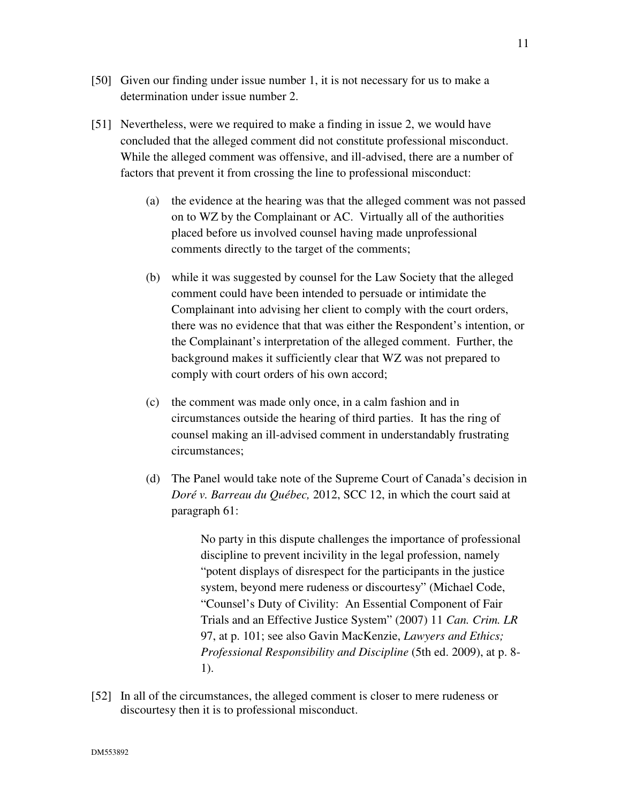- [50] Given our finding under issue number 1, it is not necessary for us to make a determination under issue number 2.
- [51] Nevertheless, were we required to make a finding in issue 2, we would have concluded that the alleged comment did not constitute professional misconduct. While the alleged comment was offensive, and ill-advised, there are a number of factors that prevent it from crossing the line to professional misconduct:
	- (a) the evidence at the hearing was that the alleged comment was not passed on to WZ by the Complainant or AC. Virtually all of the authorities placed before us involved counsel having made unprofessional comments directly to the target of the comments;
	- (b) while it was suggested by counsel for the Law Society that the alleged comment could have been intended to persuade or intimidate the Complainant into advising her client to comply with the court orders, there was no evidence that that was either the Respondent's intention, or the Complainant's interpretation of the alleged comment. Further, the background makes it sufficiently clear that WZ was not prepared to comply with court orders of his own accord;
	- (c) the comment was made only once, in a calm fashion and in circumstances outside the hearing of third parties. It has the ring of counsel making an ill-advised comment in understandably frustrating circumstances;
	- (d) The Panel would take note of the Supreme Court of Canada's decision in *Doré v. Barreau du Québec,* 2012, SCC 12, in which the court said at paragraph 61:

No party in this dispute challenges the importance of professional discipline to prevent incivility in the legal profession, namely "potent displays of disrespect for the participants in the justice system, beyond mere rudeness or discourtesy" (Michael Code, "Counsel's Duty of Civility: An Essential Component of Fair Trials and an Effective Justice System" (2007) 11 *Can. Crim. LR* 97, at p. 101; see also Gavin MacKenzie, *Lawyers and Ethics; Professional Responsibility and Discipline* (5th ed. 2009), at p. 8- 1).

[52] In all of the circumstances, the alleged comment is closer to mere rudeness or discourtesy then it is to professional misconduct.